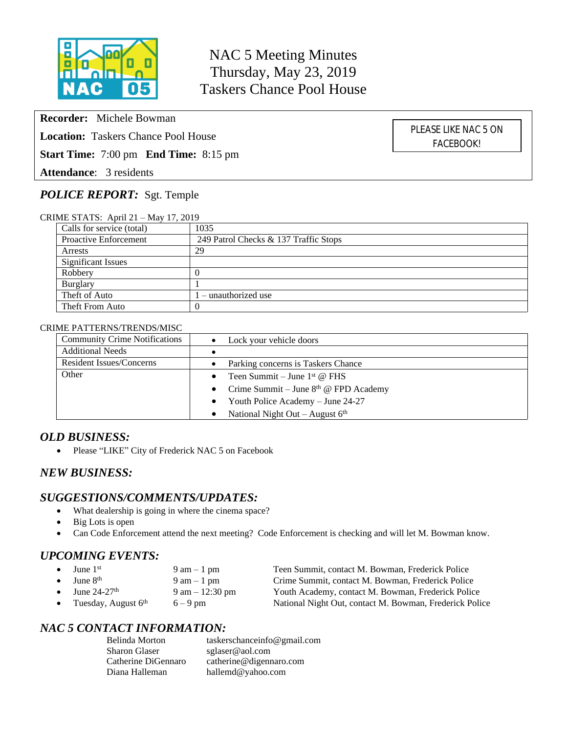

NAC 5 Meeting Minutes Thursday, May 23, 2019 Taskers Chance Pool House

**Recorder:** Michele Bowman

**Location:** Taskers Chance Pool House

**Start Time:** 7:00 pm **End Time:** 8:15 pm

**Attendance**: 3 residents

# *POLICE REPORT:* Sgt. Temple

CRIME STATS: April 21 – May 17, 2019

| Calls for service (total)    | 1035                                  |
|------------------------------|---------------------------------------|
| <b>Proactive Enforcement</b> | 249 Patrol Checks & 137 Traffic Stops |
| Arrests                      | 29                                    |
| <b>Significant Issues</b>    |                                       |
| Robbery                      |                                       |
| Burglary                     |                                       |
| Theft of Auto                | $1$ – unauthorized use                |
| Theft From Auto              | $\cup$                                |

### CRIME PATTERNS/TRENDS/MISC

| Lock your vehicle doors                        |  |
|------------------------------------------------|--|
|                                                |  |
| Parking concerns is Taskers Chance             |  |
| Teen Summit – June $1st$ @ FHS                 |  |
| • Crime Summit – June $8th$ @ FPD Academy      |  |
| Youth Police Academy – June 24-27<br>$\bullet$ |  |
| National Night Out - August $6th$              |  |
|                                                |  |

### *OLD BUSINESS:*

• Please "LIKE" City of Frederick NAC 5 on Facebook

### *NEW BUSINESS:*

### *SUGGESTIONS/COMMENTS/UPDATES:*

- What dealership is going in where the cinema space?
- Big Lots is open
- Can Code Enforcement attend the next meeting? Code Enforcement is checking and will let M. Bowman know.

# *UPCOMING EVENTS:*

|           | $\bullet$ June 1 <sup>st</sup>     | $9 \text{ am} - 1 \text{ pm}$     | Teen Summit, contact M. Bowman, Frederick Police        |
|-----------|------------------------------------|-----------------------------------|---------------------------------------------------------|
|           | $\bullet$ June $8th$               | $9 \text{ am} - 1 \text{ pm}$     | Crime Summit, contact M. Bowman, Frederick Police       |
|           | $\bullet$ June 24-27 <sup>th</sup> | $9 \text{ am} - 12:30 \text{ pm}$ | Youth Academy, contact M. Bowman, Frederick Police      |
| $\bullet$ | Tuesday, August 6 <sup>th</sup>    | $6 - 9$ pm                        | National Night Out, contact M. Bowman, Frederick Police |

# *NAC 5 CONTACT INFORMATION:*

| Belinda Morton      | taskerschanceinfo@gmail.com |
|---------------------|-----------------------------|
| Sharon Glaser       | sglaser@aol.com             |
| Catherine DiGennaro | catherine@digennaro.com     |
| Diana Halleman      | hallemd@yahoo.com           |

PLEASE LIKE NAC 5 ON FACEBOOK!